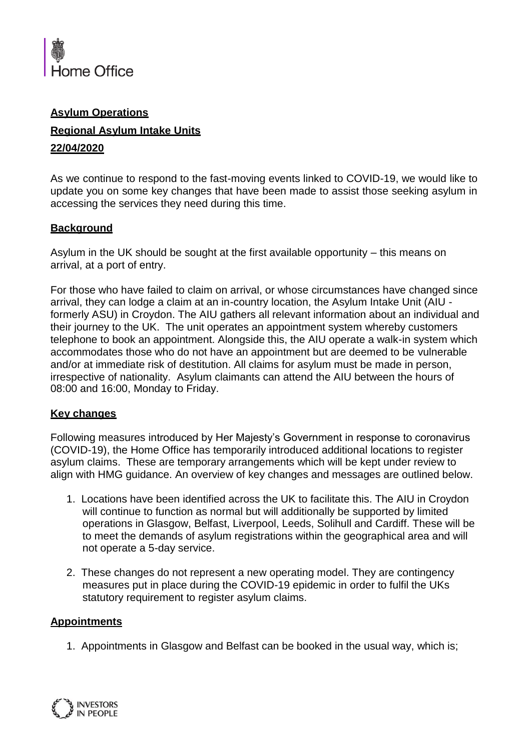

# **Asylum Operations**

## **Regional Asylum Intake Units**

#### **22/04/2020**

As we continue to respond to the fast-moving events linked to COVID-19, we would like to update you on some key changes that have been made to assist those seeking asylum in accessing the services they need during this time.

## **Background**

Asylum in the UK should be sought at the first available opportunity – this means on arrival, at a port of entry.

For those who have failed to claim on arrival, or whose circumstances have changed since arrival, they can lodge a claim at an in-country location, the Asylum Intake Unit (AIU formerly ASU) in Croydon. The AIU gathers all relevant information about an individual and their journey to the UK. The unit operates an appointment system whereby customers telephone to book an appointment. Alongside this, the AIU operate a walk-in system which accommodates those who do not have an appointment but are deemed to be vulnerable and/or at immediate risk of destitution. All claims for asylum must be made in person, irrespective of nationality. Asylum claimants can attend the AIU between the hours of 08:00 and 16:00, Monday to Friday.

#### **Key changes**

Following measures introduced by Her Majesty's Government in response to coronavirus (COVID-19), the Home Office has temporarily introduced additional locations to register asylum claims. These are temporary arrangements which will be kept under review to align with HMG guidance. An overview of key changes and messages are outlined below.

- 1. Locations have been identified across the UK to facilitate this. The AIU in Croydon will continue to function as normal but will additionally be supported by limited operations in Glasgow, Belfast, Liverpool, Leeds, Solihull and Cardiff. These will be to meet the demands of asylum registrations within the geographical area and will not operate a 5-day service.
- 2. These changes do not represent a new operating model. They are contingency measures put in place during the COVID-19 epidemic in order to fulfil the UKs statutory requirement to register asylum claims.

## **Appointments**

1. Appointments in Glasgow and Belfast can be booked in the usual way, which is;

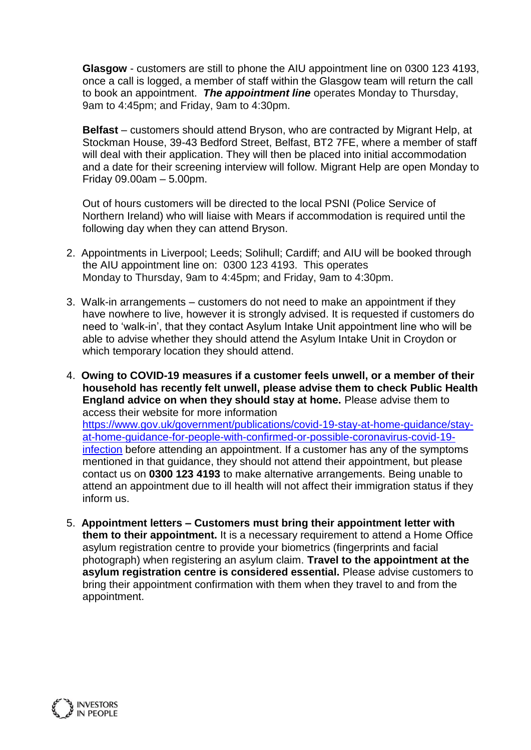**Glasgow** - customers are still to phone the AIU appointment line on 0300 123 4193, once a call is logged, a member of staff within the Glasgow team will return the call to book an appointment. *The appointment line* operates Monday to Thursday, 9am to 4:45pm; and Friday, 9am to 4:30pm.

**Belfast** – customers should attend Bryson, who are contracted by Migrant Help, at Stockman House, 39-43 Bedford Street, Belfast, BT2 7FE, where a member of staff will deal with their application. They will then be placed into initial accommodation and a date for their screening interview will follow. Migrant Help are open Monday to Friday 09.00am – 5.00pm.

Out of hours customers will be directed to the local PSNI (Police Service of Northern Ireland) who will liaise with Mears if accommodation is required until the following day when they can attend Bryson.

- 2. Appointments in Liverpool; Leeds; Solihull; Cardiff; and AIU will be booked through the AIU appointment line on: 0300 123 4193. This operates Monday to Thursday, 9am to 4:45pm; and Friday, 9am to 4:30pm.
- 3. Walk-in arrangements customers do not need to make an appointment if they have nowhere to live, however it is strongly advised. It is requested if customers do need to 'walk-in', that they contact Asylum Intake Unit appointment line who will be able to advise whether they should attend the Asylum Intake Unit in Croydon or which temporary location they should attend.
- 4. **Owing to COVID-19 measures if a customer feels unwell, or a member of their household has recently felt unwell, please advise them to check Public Health England advice on when they should stay at home.** Please advise them to access their website for more information [https://www.gov.uk/government/publications/covid-19-stay-at-home-guidance/stay](https://www.gov.uk/government/publications/covid-19-stay-at-home-guidance/stay-at-home-guidance-for-people-with-confirmed-or-possible-coronavirus-covid-19-infection)[at-home-guidance-for-people-with-confirmed-or-possible-coronavirus-covid-19](https://www.gov.uk/government/publications/covid-19-stay-at-home-guidance/stay-at-home-guidance-for-people-with-confirmed-or-possible-coronavirus-covid-19-infection) infection [before attending an appointment. If a customer has any of the symptoms](https://www.gov.uk/government/publications/covid-19-stay-at-home-guidance/stay-at-home-guidance-for-people-with-confirmed-or-possible-coronavirus-covid-19-infection) mentioned in that guidance, they should not attend their appointment, but please contact us on **0300 123 4193** to make alternative arrangements. Being unable to attend an appointment due to ill health will not affect their immigration status if they inform us.
- 5. **Appointment letters – Customers must bring their appointment letter with them to their appointment.** It is a necessary requirement to attend a Home Office asylum registration centre to provide your biometrics (fingerprints and facial photograph) when registering an asylum claim. **Travel to the appointment at the asylum registration centre is considered essential.** Please advise customers to bring their appointment confirmation with them when they travel to and from the appointment.